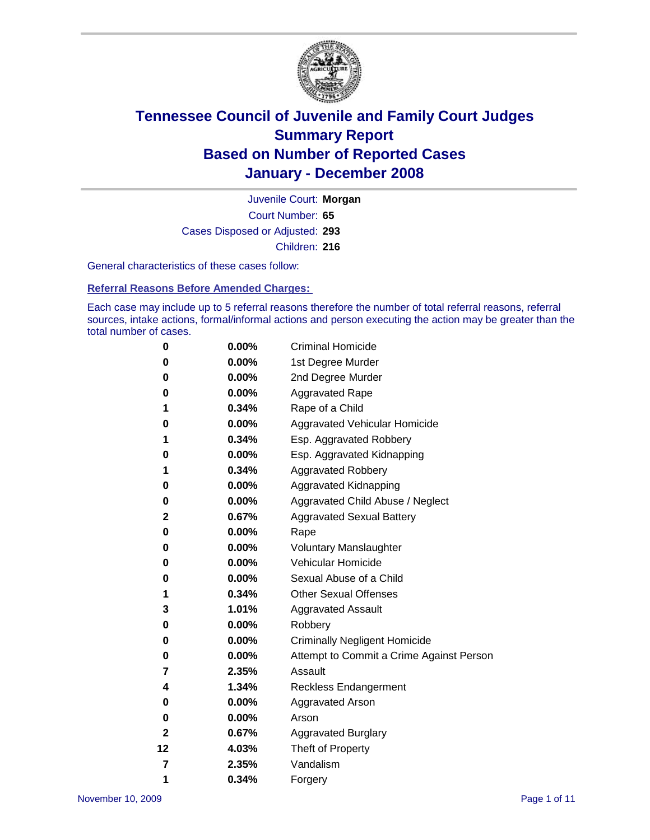

Court Number: **65** Juvenile Court: **Morgan** Cases Disposed or Adjusted: **293** Children: **216**

General characteristics of these cases follow:

**Referral Reasons Before Amended Charges:** 

Each case may include up to 5 referral reasons therefore the number of total referral reasons, referral sources, intake actions, formal/informal actions and person executing the action may be greater than the total number of cases.

| 0  | 0.00%    | <b>Criminal Homicide</b>                 |
|----|----------|------------------------------------------|
| 0  | 0.00%    | 1st Degree Murder                        |
| 0  | $0.00\%$ | 2nd Degree Murder                        |
| 0  | 0.00%    | <b>Aggravated Rape</b>                   |
| 1  | 0.34%    | Rape of a Child                          |
| 0  | 0.00%    | Aggravated Vehicular Homicide            |
| 1  | 0.34%    | Esp. Aggravated Robbery                  |
| 0  | 0.00%    | Esp. Aggravated Kidnapping               |
| 1  | 0.34%    | <b>Aggravated Robbery</b>                |
| 0  | $0.00\%$ | Aggravated Kidnapping                    |
| 0  | 0.00%    | Aggravated Child Abuse / Neglect         |
| 2  | 0.67%    | <b>Aggravated Sexual Battery</b>         |
| 0  | 0.00%    | Rape                                     |
| 0  | 0.00%    | <b>Voluntary Manslaughter</b>            |
| 0  | 0.00%    | Vehicular Homicide                       |
| 0  | 0.00%    | Sexual Abuse of a Child                  |
| 1  | 0.34%    | <b>Other Sexual Offenses</b>             |
| 3  | 1.01%    | <b>Aggravated Assault</b>                |
| 0  | $0.00\%$ | Robbery                                  |
| 0  | 0.00%    | <b>Criminally Negligent Homicide</b>     |
| 0  | 0.00%    | Attempt to Commit a Crime Against Person |
| 7  | 2.35%    | Assault                                  |
| 4  | 1.34%    | <b>Reckless Endangerment</b>             |
| 0  | 0.00%    | Aggravated Arson                         |
| 0  | 0.00%    | Arson                                    |
| 2  | 0.67%    | <b>Aggravated Burglary</b>               |
| 12 | 4.03%    | Theft of Property                        |
| 7  | 2.35%    | Vandalism                                |
| 1  | 0.34%    | Forgery                                  |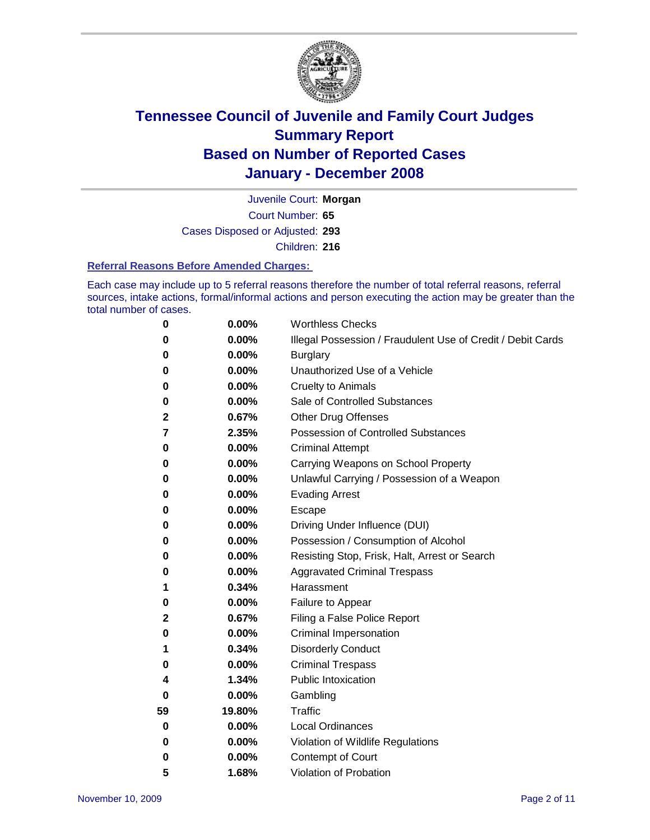

Court Number: **65** Juvenile Court: **Morgan** Cases Disposed or Adjusted: **293** Children: **216**

#### **Referral Reasons Before Amended Charges:**

Each case may include up to 5 referral reasons therefore the number of total referral reasons, referral sources, intake actions, formal/informal actions and person executing the action may be greater than the total number of cases.

| 0  | 0.00%    | <b>Worthless Checks</b>                                     |
|----|----------|-------------------------------------------------------------|
| 0  | 0.00%    | Illegal Possession / Fraudulent Use of Credit / Debit Cards |
| 0  | 0.00%    | <b>Burglary</b>                                             |
| 0  | 0.00%    | Unauthorized Use of a Vehicle                               |
| 0  | 0.00%    | <b>Cruelty to Animals</b>                                   |
| 0  | $0.00\%$ | Sale of Controlled Substances                               |
| 2  | 0.67%    | <b>Other Drug Offenses</b>                                  |
| 7  | 2.35%    | Possession of Controlled Substances                         |
| 0  | 0.00%    | <b>Criminal Attempt</b>                                     |
| 0  | 0.00%    | Carrying Weapons on School Property                         |
| 0  | 0.00%    | Unlawful Carrying / Possession of a Weapon                  |
| 0  | 0.00%    | <b>Evading Arrest</b>                                       |
| 0  | 0.00%    | Escape                                                      |
| 0  | 0.00%    | Driving Under Influence (DUI)                               |
| 0  | 0.00%    | Possession / Consumption of Alcohol                         |
| 0  | 0.00%    | Resisting Stop, Frisk, Halt, Arrest or Search               |
| 0  | 0.00%    | <b>Aggravated Criminal Trespass</b>                         |
| 1  | 0.34%    | Harassment                                                  |
| 0  | 0.00%    | Failure to Appear                                           |
| 2  | 0.67%    | Filing a False Police Report                                |
| 0  | 0.00%    | Criminal Impersonation                                      |
| 1  | 0.34%    | <b>Disorderly Conduct</b>                                   |
| 0  | 0.00%    | <b>Criminal Trespass</b>                                    |
| 4  | 1.34%    | <b>Public Intoxication</b>                                  |
| 0  | 0.00%    | Gambling                                                    |
| 59 | 19.80%   | Traffic                                                     |
| 0  | 0.00%    | <b>Local Ordinances</b>                                     |
| 0  | 0.00%    | Violation of Wildlife Regulations                           |
| 0  | 0.00%    | Contempt of Court                                           |
| 5  | 1.68%    | Violation of Probation                                      |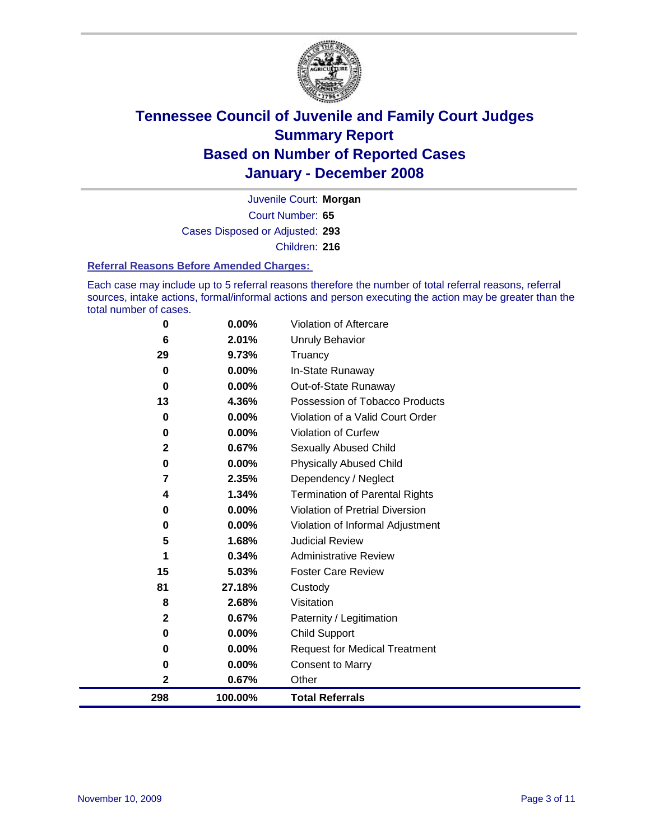

Court Number: **65** Juvenile Court: **Morgan** Cases Disposed or Adjusted: **293** Children: **216**

#### **Referral Reasons Before Amended Charges:**

Each case may include up to 5 referral reasons therefore the number of total referral reasons, referral sources, intake actions, formal/informal actions and person executing the action may be greater than the total number of cases.

| 298          | 100.00%  | <b>Total Referrals</b>                 |
|--------------|----------|----------------------------------------|
| $\mathbf{2}$ | 0.67%    | Other                                  |
| 0            | 0.00%    | <b>Consent to Marry</b>                |
| 0            | 0.00%    | <b>Request for Medical Treatment</b>   |
| 0            | 0.00%    | <b>Child Support</b>                   |
| $\mathbf 2$  | 0.67%    | Paternity / Legitimation               |
| 8            | 2.68%    | Visitation                             |
| 81           | 27.18%   | Custody                                |
| 15           | 5.03%    | <b>Foster Care Review</b>              |
| 1            | 0.34%    | <b>Administrative Review</b>           |
| 5            | 1.68%    | <b>Judicial Review</b>                 |
| 0            | 0.00%    | Violation of Informal Adjustment       |
| 0            | 0.00%    | <b>Violation of Pretrial Diversion</b> |
| 4            | 1.34%    | <b>Termination of Parental Rights</b>  |
| 7            | 2.35%    | Dependency / Neglect                   |
| 0            | 0.00%    | <b>Physically Abused Child</b>         |
| $\mathbf{2}$ | 0.67%    | <b>Sexually Abused Child</b>           |
| 0            | 0.00%    | <b>Violation of Curfew</b>             |
| 0            | 0.00%    | Violation of a Valid Court Order       |
| 13           | 4.36%    | Possession of Tobacco Products         |
| 0            | $0.00\%$ | Out-of-State Runaway                   |
| $\bf{0}$     | 0.00%    | In-State Runaway                       |
| 29           | 9.73%    | Truancy                                |
| 6            | 2.01%    | <b>Unruly Behavior</b>                 |
| 0            | 0.00%    | Violation of Aftercare                 |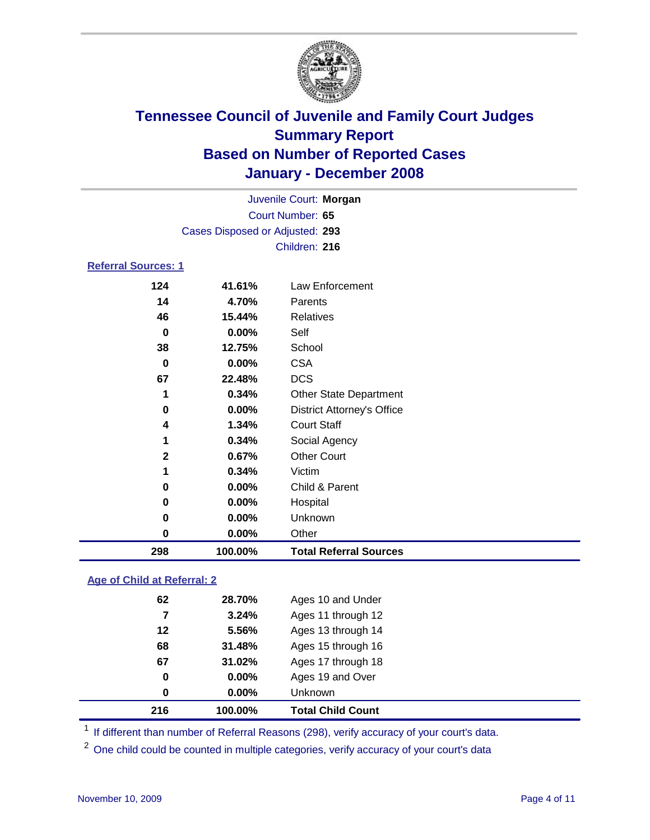

|                            |                                 | Juvenile Court: Morgan            |  |
|----------------------------|---------------------------------|-----------------------------------|--|
|                            |                                 | Court Number: 65                  |  |
|                            | Cases Disposed or Adjusted: 293 |                                   |  |
|                            |                                 | Children: 216                     |  |
| <b>Referral Sources: 1</b> |                                 |                                   |  |
| 124                        | 41.61%                          | Law Enforcement                   |  |
| 14                         | 4.70%                           | Parents                           |  |
| 46                         | 15.44%                          | <b>Relatives</b>                  |  |
| 0                          | $0.00\%$                        | Self                              |  |
| 38                         | 12.75%                          | School                            |  |
| 0                          | $0.00\%$                        | <b>CSA</b>                        |  |
| 67                         | 22.48%                          | <b>DCS</b>                        |  |
| 1                          | 0.34%                           | <b>Other State Department</b>     |  |
| 0                          | $0.00\%$                        | <b>District Attorney's Office</b> |  |
| 4                          | 1.34%                           | <b>Court Staff</b>                |  |
| А                          | <u>ດ ລ 40/</u>                  | 0                                 |  |

| 298 | 100.00%  | <b>Total Referral Sources</b> |  |
|-----|----------|-------------------------------|--|
| 0   | 0.00%    | Other                         |  |
| 0   | $0.00\%$ | Unknown                       |  |
| 0   | 0.00%    | Hospital                      |  |
| 0   | $0.00\%$ | Child & Parent                |  |
| 1   | 0.34%    | Victim                        |  |
| 2   | 0.67%    | <b>Other Court</b>            |  |
|     | 0.34%    | Social Agency                 |  |
|     |          |                               |  |

### **Age of Child at Referral: 2**

|    | 100.00% | <b>Total Child Count</b> |
|----|---------|--------------------------|
| 0  | 0.00%   | <b>Unknown</b>           |
| 0  | 0.00%   | Ages 19 and Over         |
| 67 | 31.02%  | Ages 17 through 18       |
| 68 | 31.48%  | Ages 15 through 16       |
| 12 | 5.56%   | Ages 13 through 14       |
| 7  | 3.24%   | Ages 11 through 12       |
| 62 | 28.70%  | Ages 10 and Under        |
|    | 216     |                          |

<sup>1</sup> If different than number of Referral Reasons (298), verify accuracy of your court's data.

<sup>2</sup> One child could be counted in multiple categories, verify accuracy of your court's data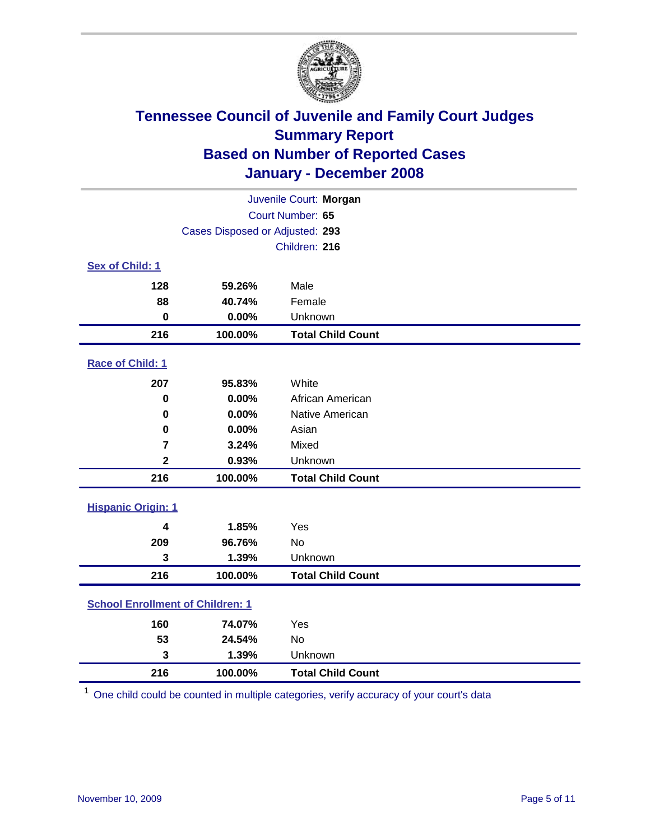

| Juvenile Court: Morgan                  |                                 |                          |  |  |  |
|-----------------------------------------|---------------------------------|--------------------------|--|--|--|
| Court Number: 65                        |                                 |                          |  |  |  |
|                                         | Cases Disposed or Adjusted: 293 |                          |  |  |  |
|                                         |                                 | Children: 216            |  |  |  |
| Sex of Child: 1                         |                                 |                          |  |  |  |
| 128                                     | 59.26%                          | Male                     |  |  |  |
| 88                                      | 40.74%                          | Female                   |  |  |  |
| $\bf{0}$                                | 0.00%                           | Unknown                  |  |  |  |
| 216                                     | 100.00%                         | <b>Total Child Count</b> |  |  |  |
| Race of Child: 1                        |                                 |                          |  |  |  |
| 207                                     | 95.83%                          | White                    |  |  |  |
| $\bf{0}$                                | 0.00%                           | African American         |  |  |  |
| 0                                       | 0.00%                           | Native American          |  |  |  |
| 0                                       | 0.00%                           | Asian                    |  |  |  |
| $\overline{7}$                          | 3.24%                           | Mixed                    |  |  |  |
| $\overline{\mathbf{2}}$                 | 0.93%                           | Unknown                  |  |  |  |
| 216                                     | 100.00%                         | <b>Total Child Count</b> |  |  |  |
| <b>Hispanic Origin: 1</b>               |                                 |                          |  |  |  |
| 4                                       | 1.85%                           | Yes                      |  |  |  |
| 209                                     | 96.76%                          | <b>No</b>                |  |  |  |
| 3                                       | 1.39%                           | Unknown                  |  |  |  |
| 216                                     | 100.00%                         | <b>Total Child Count</b> |  |  |  |
| <b>School Enrollment of Children: 1</b> |                                 |                          |  |  |  |
| 160                                     | 74.07%                          | Yes                      |  |  |  |
| 53                                      | 24.54%                          | No                       |  |  |  |
| 3                                       | 1.39%                           | Unknown                  |  |  |  |
| 216                                     | 100.00%                         | <b>Total Child Count</b> |  |  |  |

One child could be counted in multiple categories, verify accuracy of your court's data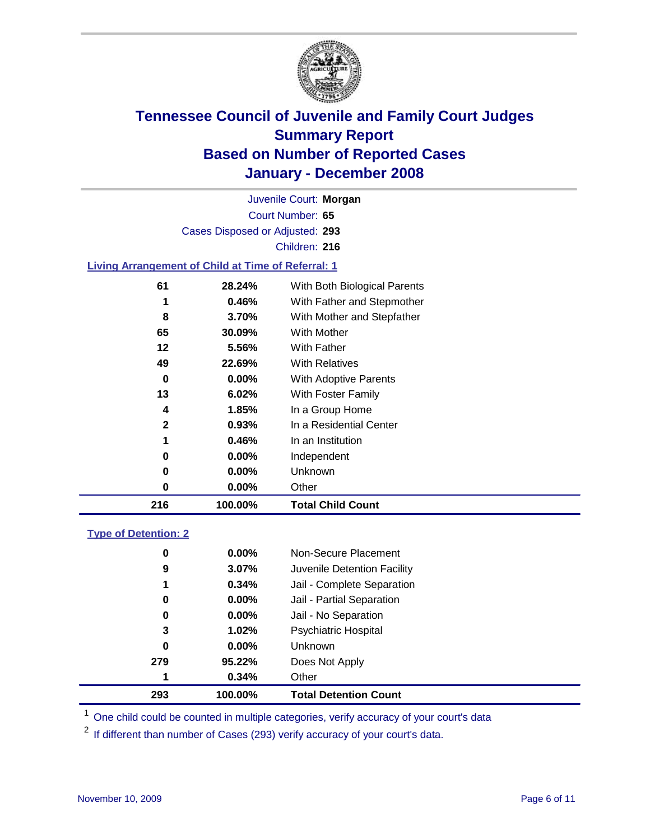

Court Number: **65** Juvenile Court: **Morgan** Cases Disposed or Adjusted: **293** Children: **216**

### **Living Arrangement of Child at Time of Referral: 1**

| 216 | 100.00%  | <b>Total Child Count</b>     |
|-----|----------|------------------------------|
| 0   | 0.00%    | Other                        |
| 0   | 0.00%    | Unknown                      |
| 0   | $0.00\%$ | Independent                  |
| 1   | 0.46%    | In an Institution            |
| 2   | 0.93%    | In a Residential Center      |
| 4   | 1.85%    | In a Group Home              |
| 13  | 6.02%    | With Foster Family           |
| 0   | 0.00%    | With Adoptive Parents        |
| 49  | 22.69%   | <b>With Relatives</b>        |
| 12  | 5.56%    | With Father                  |
| 65  | 30.09%   | With Mother                  |
| 8   | 3.70%    | With Mother and Stepfather   |
| 1   | 0.46%    | With Father and Stepmother   |
| 61  | 28.24%   | With Both Biological Parents |
|     |          |                              |

#### **Type of Detention: 2**

| 293 | 100.00%       | <b>Total Detention Count</b> |
|-----|---------------|------------------------------|
| 1   | 0.34%         | Other                        |
| 279 | 95.22%        | Does Not Apply               |
|     | 0<br>$0.00\%$ | <b>Unknown</b>               |
|     | 3<br>1.02%    | <b>Psychiatric Hospital</b>  |
|     | 0.00%<br>0    | Jail - No Separation         |
|     | 0<br>$0.00\%$ | Jail - Partial Separation    |
|     | 1<br>0.34%    | Jail - Complete Separation   |
|     | 9<br>3.07%    | Juvenile Detention Facility  |
|     | 0<br>$0.00\%$ | Non-Secure Placement         |
|     |               |                              |

<sup>1</sup> One child could be counted in multiple categories, verify accuracy of your court's data

<sup>2</sup> If different than number of Cases (293) verify accuracy of your court's data.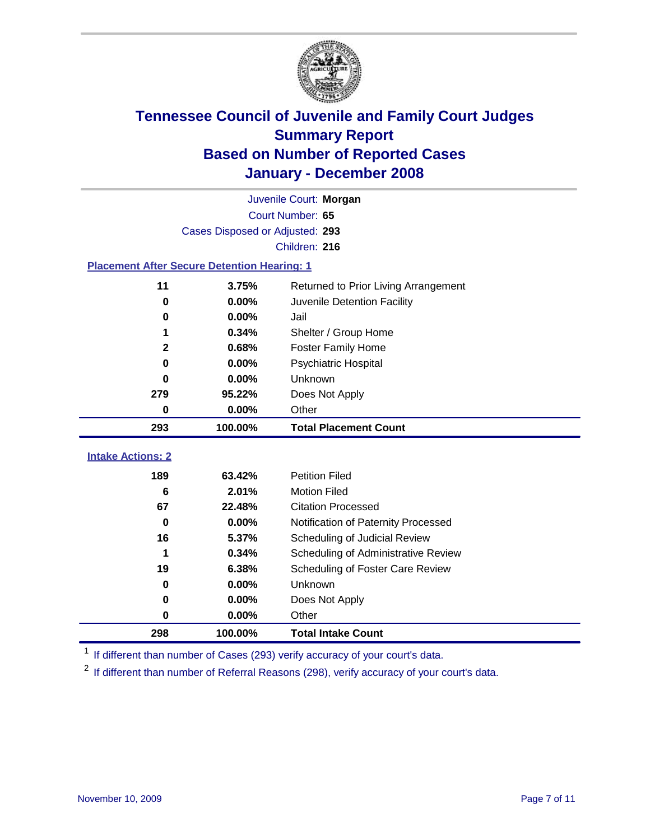

|                                                    | Juvenile Court: Morgan          |                                      |  |  |  |
|----------------------------------------------------|---------------------------------|--------------------------------------|--|--|--|
| Court Number: 65                                   |                                 |                                      |  |  |  |
|                                                    | Cases Disposed or Adjusted: 293 |                                      |  |  |  |
|                                                    |                                 | Children: 216                        |  |  |  |
| <b>Placement After Secure Detention Hearing: 1</b> |                                 |                                      |  |  |  |
| 11                                                 | 3.75%                           | Returned to Prior Living Arrangement |  |  |  |
| $\bf{0}$                                           | 0.00%                           | Juvenile Detention Facility          |  |  |  |
| $\bf{0}$                                           | 0.00%                           | Jail                                 |  |  |  |
| 1                                                  | 0.34%                           | Shelter / Group Home                 |  |  |  |
| $\mathbf{2}$                                       | 0.68%                           | <b>Foster Family Home</b>            |  |  |  |
| $\bf{0}$                                           | 0.00%                           | Psychiatric Hospital                 |  |  |  |
| 0                                                  | 0.00%                           | Unknown                              |  |  |  |
| 279                                                | 95.22%                          | Does Not Apply                       |  |  |  |
| 0                                                  | $0.00\%$                        | Other                                |  |  |  |
| 293                                                | 100.00%                         | <b>Total Placement Count</b>         |  |  |  |
| <b>Intake Actions: 2</b>                           |                                 |                                      |  |  |  |
|                                                    |                                 |                                      |  |  |  |
| 189                                                | 63.42%                          | <b>Petition Filed</b>                |  |  |  |
| 6                                                  | 2.01%                           | <b>Motion Filed</b>                  |  |  |  |
| 67                                                 | 22.48%                          | <b>Citation Processed</b>            |  |  |  |
| 0                                                  | 0.00%                           | Notification of Paternity Processed  |  |  |  |
| 16                                                 | 5.37%                           | Scheduling of Judicial Review        |  |  |  |
| 1                                                  | 0.34%                           | Scheduling of Administrative Review  |  |  |  |
| 19                                                 | 6.38%                           | Scheduling of Foster Care Review     |  |  |  |
| $\bf{0}$                                           | 0.00%                           | Unknown                              |  |  |  |
| 0                                                  | 0.00%                           | Does Not Apply                       |  |  |  |
| $\bf{0}$                                           | 0.00%                           | Other                                |  |  |  |
| 298                                                | 100.00%                         | <b>Total Intake Count</b>            |  |  |  |

<sup>1</sup> If different than number of Cases (293) verify accuracy of your court's data.

<sup>2</sup> If different than number of Referral Reasons (298), verify accuracy of your court's data.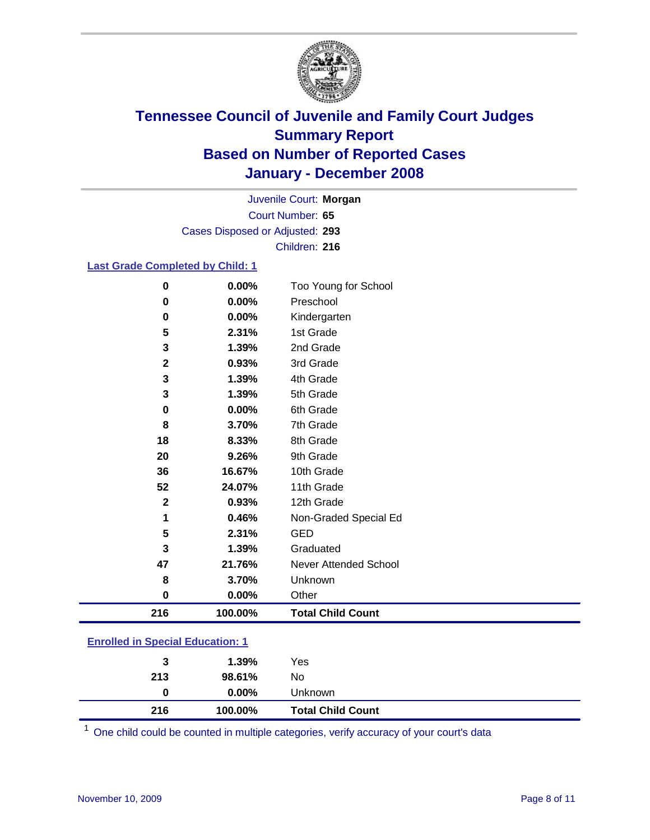

Court Number: **65** Juvenile Court: **Morgan** Cases Disposed or Adjusted: **293** Children: **216**

### **Last Grade Completed by Child: 1**

| 216         | 100.00% | <b>Total Child Count</b> |
|-------------|---------|--------------------------|
| $\mathbf 0$ | 0.00%   | Other                    |
| 8           | 3.70%   | Unknown                  |
| 47          | 21.76%  | Never Attended School    |
| 3           | 1.39%   | Graduated                |
| 5           | 2.31%   | <b>GED</b>               |
| 1           | 0.46%   | Non-Graded Special Ed    |
| $\mathbf 2$ | 0.93%   | 12th Grade               |
| 52          | 24.07%  | 11th Grade               |
| 36          | 16.67%  | 10th Grade               |
| 20          | 9.26%   | 9th Grade                |
| 18          | 8.33%   | 8th Grade                |
| 8           | 3.70%   | 7th Grade                |
| 0           | 0.00%   | 6th Grade                |
| 3           | 1.39%   | 5th Grade                |
| 3           | 1.39%   | 4th Grade                |
| $\mathbf 2$ | 0.93%   | 3rd Grade                |
| 3           | 1.39%   | 2nd Grade                |
| 5           | 2.31%   | 1st Grade                |
| 0           | 0.00%   | Kindergarten             |
| $\bf{0}$    | 0.00%   | Preschool                |
| $\bf{0}$    | 0.00%   | Too Young for School     |

### **Enrolled in Special Education: 1**

| 216 | 100.00%  | <b>Total Child Count</b> |  |
|-----|----------|--------------------------|--|
| 0   | $0.00\%$ | <b>Unknown</b>           |  |
| 213 | 98.61%   | No.                      |  |
| 3   | 1.39%    | Yes                      |  |
|     |          |                          |  |

<sup>1</sup> One child could be counted in multiple categories, verify accuracy of your court's data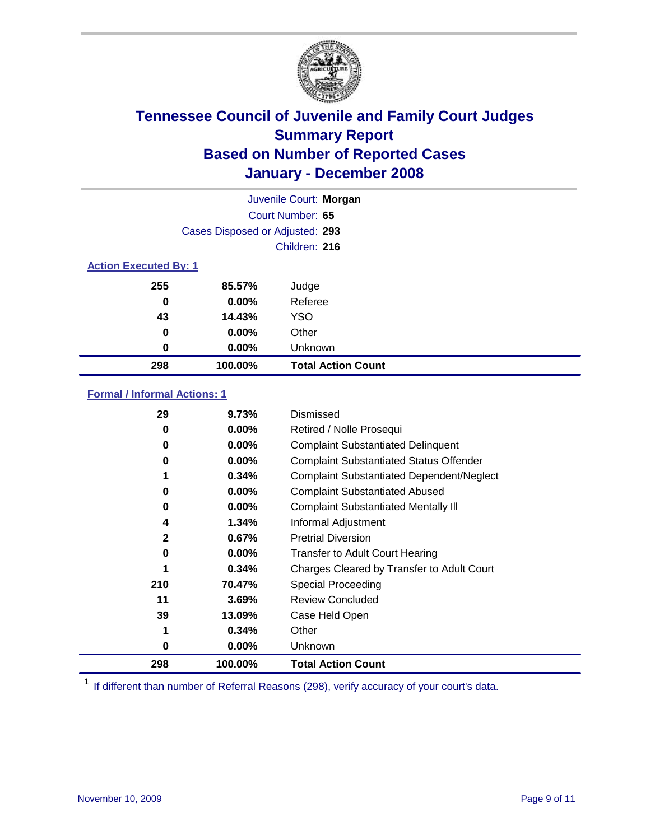

|                              |                                 | Juvenile Court: Morgan    |  |  |
|------------------------------|---------------------------------|---------------------------|--|--|
|                              |                                 | Court Number: 65          |  |  |
|                              | Cases Disposed or Adjusted: 293 |                           |  |  |
|                              |                                 | Children: 216             |  |  |
| <b>Action Executed By: 1</b> |                                 |                           |  |  |
| 255                          | 85.57%                          | Judge                     |  |  |
| 0                            | $0.00\%$                        | Referee                   |  |  |
| 43                           | 14.43%                          | <b>YSO</b>                |  |  |
| 0                            | $0.00\%$                        | Other                     |  |  |
| 0                            | $0.00\%$                        | Unknown                   |  |  |
| 298                          | 100.00%                         | <b>Total Action Count</b> |  |  |

### **Formal / Informal Actions: 1**

| 29           | 9.73%    | Dismissed                                        |
|--------------|----------|--------------------------------------------------|
| 0            | $0.00\%$ | Retired / Nolle Prosequi                         |
| 0            | $0.00\%$ | <b>Complaint Substantiated Delinquent</b>        |
| 0            | 0.00%    | <b>Complaint Substantiated Status Offender</b>   |
| 1            | 0.34%    | <b>Complaint Substantiated Dependent/Neglect</b> |
| 0            | 0.00%    | <b>Complaint Substantiated Abused</b>            |
| 0            | $0.00\%$ | <b>Complaint Substantiated Mentally III</b>      |
| 4            | 1.34%    | Informal Adjustment                              |
| $\mathbf{2}$ | 0.67%    | <b>Pretrial Diversion</b>                        |
| 0            | $0.00\%$ | <b>Transfer to Adult Court Hearing</b>           |
|              | 0.34%    | Charges Cleared by Transfer to Adult Court       |
| 210          | 70.47%   | <b>Special Proceeding</b>                        |
| 11           | 3.69%    | <b>Review Concluded</b>                          |
| 39           | 13.09%   | Case Held Open                                   |
| 1            | 0.34%    | Other                                            |
| 0            | $0.00\%$ | Unknown                                          |
| 298          | 100.00%  | <b>Total Action Count</b>                        |

<sup>1</sup> If different than number of Referral Reasons (298), verify accuracy of your court's data.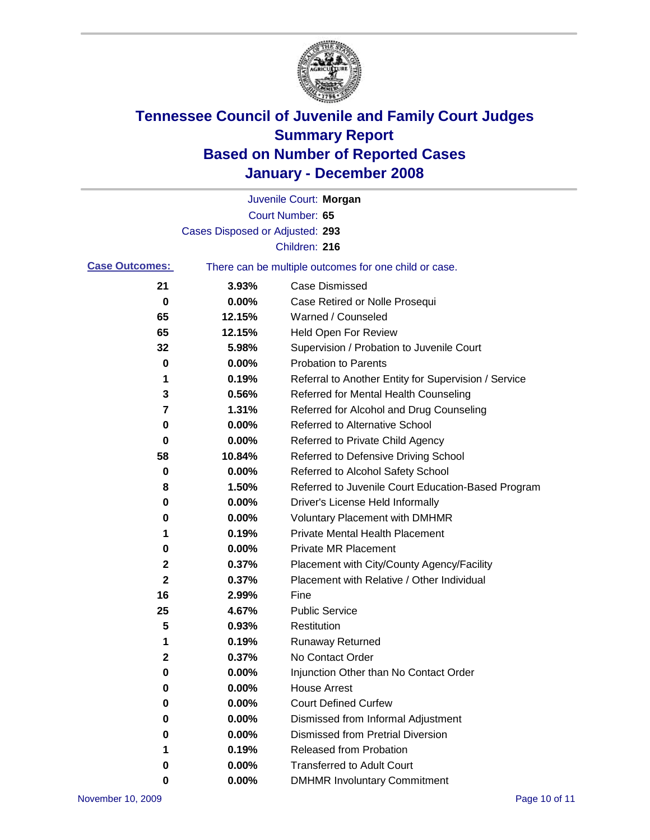

|                       |                                 | Juvenile Court: Morgan                                |
|-----------------------|---------------------------------|-------------------------------------------------------|
|                       |                                 | Court Number: 65                                      |
|                       | Cases Disposed or Adjusted: 293 |                                                       |
|                       |                                 | Children: 216                                         |
| <b>Case Outcomes:</b> |                                 | There can be multiple outcomes for one child or case. |
| 21                    | 3.93%                           | <b>Case Dismissed</b>                                 |
| 0                     | 0.00%                           | Case Retired or Nolle Prosequi                        |
| 65                    | 12.15%                          | Warned / Counseled                                    |
| 65                    | 12.15%                          | Held Open For Review                                  |
| 32                    | 5.98%                           | Supervision / Probation to Juvenile Court             |
| 0                     | 0.00%                           | <b>Probation to Parents</b>                           |
| 1                     | 0.19%                           | Referral to Another Entity for Supervision / Service  |
| 3                     | 0.56%                           | Referred for Mental Health Counseling                 |
| 7                     | 1.31%                           | Referred for Alcohol and Drug Counseling              |
| 0                     | 0.00%                           | <b>Referred to Alternative School</b>                 |
| 0                     | 0.00%                           | Referred to Private Child Agency                      |
| 58                    | 10.84%                          | Referred to Defensive Driving School                  |
| 0                     | 0.00%                           | Referred to Alcohol Safety School                     |
| 8                     | 1.50%                           | Referred to Juvenile Court Education-Based Program    |
| 0                     | 0.00%                           | Driver's License Held Informally                      |
| 0                     | 0.00%                           | <b>Voluntary Placement with DMHMR</b>                 |
| 1                     | 0.19%                           | <b>Private Mental Health Placement</b>                |
| 0                     | 0.00%                           | <b>Private MR Placement</b>                           |
| 2                     | 0.37%                           | Placement with City/County Agency/Facility            |
| 2                     | 0.37%                           | Placement with Relative / Other Individual            |
| 16                    | 2.99%                           | Fine                                                  |
| 25                    | 4.67%                           | <b>Public Service</b>                                 |
| 5                     | 0.93%                           | Restitution                                           |
| 1                     | 0.19%                           | <b>Runaway Returned</b>                               |
| 2                     | 0.37%                           | No Contact Order                                      |
| 0                     | 0.00%                           | Injunction Other than No Contact Order                |
| 0                     | 0.00%                           | <b>House Arrest</b>                                   |
| 0                     | 0.00%                           | <b>Court Defined Curfew</b>                           |
| 0                     | 0.00%                           | Dismissed from Informal Adjustment                    |
| 0                     | 0.00%                           | <b>Dismissed from Pretrial Diversion</b>              |
| 1                     | 0.19%                           | Released from Probation                               |
| 0                     | 0.00%                           | <b>Transferred to Adult Court</b>                     |
| 0                     | $0.00\%$                        | <b>DMHMR Involuntary Commitment</b>                   |